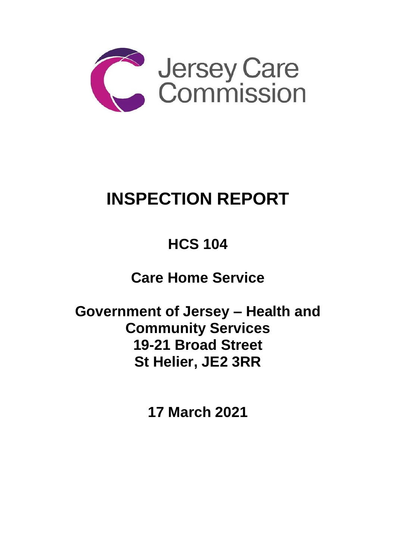

# **INSPECTION REPORT**

## **HCS 104**

**Care Home Service** 

**Government of Jersey – Health and Community Services 19-21 Broad Street St Helier, JE2 3RR**

**17 March 2021**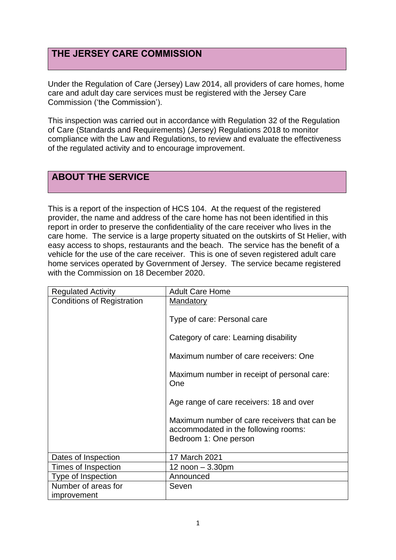## **THE JERSEY CARE COMMISSION**

Under the Regulation of Care (Jersey) Law 2014, all providers of care homes, home care and adult day care services must be registered with the Jersey Care Commission ('the Commission').

This inspection was carried out in accordance with Regulation 32 of the Regulation of Care (Standards and Requirements) (Jersey) Regulations 2018 to monitor compliance with the Law and Regulations, to review and evaluate the effectiveness of the regulated activity and to encourage improvement.

## **ABOUT THE SERVICE**

This is a report of the inspection of HCS 104. At the request of the registered provider, the name and address of the care home has not been identified in this report in order to preserve the confidentiality of the care receiver who lives in the care home. The service is a large property situated on the outskirts of St Helier, with easy access to shops, restaurants and the beach. The service has the benefit of a vehicle for the use of the care receiver. This is one of seven registered adult care home services operated by Government of Jersey. The service became registered with the Commission on 18 December 2020.

| <b>Regulated Activity</b>         | <b>Adult Care Home</b>                                                                                        |
|-----------------------------------|---------------------------------------------------------------------------------------------------------------|
| <b>Conditions of Registration</b> | Mandatory                                                                                                     |
|                                   | Type of care: Personal care                                                                                   |
|                                   | Category of care: Learning disability                                                                         |
|                                   | Maximum number of care receivers: One                                                                         |
|                                   | Maximum number in receipt of personal care:<br>One                                                            |
|                                   | Age range of care receivers: 18 and over                                                                      |
|                                   | Maximum number of care receivers that can be<br>accommodated in the following rooms:<br>Bedroom 1: One person |
|                                   |                                                                                                               |
| Dates of Inspection               | 17 March 2021                                                                                                 |
| Times of Inspection               | 12 $noon - 3.30pm$                                                                                            |
| Type of Inspection                | Announced                                                                                                     |
| Number of areas for               | Seven                                                                                                         |
| improvement                       |                                                                                                               |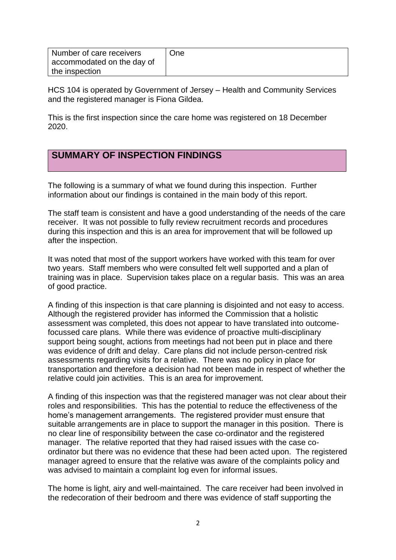| Number of care receivers   | One |
|----------------------------|-----|
| accommodated on the day of |     |
| the inspection             |     |

HCS 104 is operated by Government of Jersey – Health and Community Services and the registered manager is Fiona Gildea.

This is the first inspection since the care home was registered on 18 December 2020.

## **SUMMARY OF INSPECTION FINDINGS**

The following is a summary of what we found during this inspection. Further information about our findings is contained in the main body of this report.

The staff team is consistent and have a good understanding of the needs of the care receiver. It was not possible to fully review recruitment records and procedures during this inspection and this is an area for improvement that will be followed up after the inspection.

It was noted that most of the support workers have worked with this team for over two years. Staff members who were consulted felt well supported and a plan of training was in place. Supervision takes place on a regular basis. This was an area of good practice.

A finding of this inspection is that care planning is disjointed and not easy to access. Although the registered provider has informed the Commission that a holistic assessment was completed, this does not appear to have translated into outcomefocussed care plans. While there was evidence of proactive multi-disciplinary support being sought, actions from meetings had not been put in place and there was evidence of drift and delay. Care plans did not include person-centred risk assessments regarding visits for a relative. There was no policy in place for transportation and therefore a decision had not been made in respect of whether the relative could join activities. This is an area for improvement.

A finding of this inspection was that the registered manager was not clear about their roles and responsibilities. This has the potential to reduce the effectiveness of the home's management arrangements. The registered provider must ensure that suitable arrangements are in place to support the manager in this position. There is no clear line of responsibility between the case co-ordinator and the registered manager. The relative reported that they had raised issues with the case coordinator but there was no evidence that these had been acted upon. The registered manager agreed to ensure that the relative was aware of the complaints policy and was advised to maintain a complaint log even for informal issues.

The home is light, airy and well-maintained. The care receiver had been involved in the redecoration of their bedroom and there was evidence of staff supporting the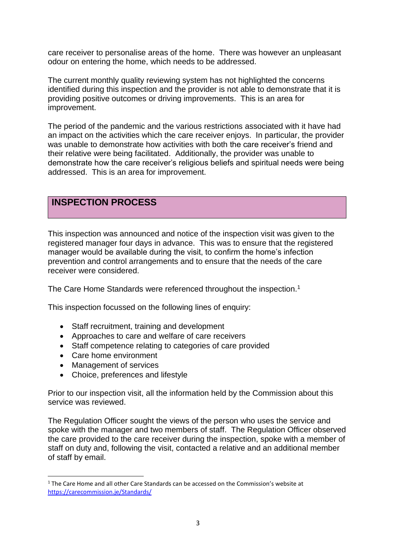care receiver to personalise areas of the home. There was however an unpleasant odour on entering the home, which needs to be addressed.

The current monthly quality reviewing system has not highlighted the concerns identified during this inspection and the provider is not able to demonstrate that it is providing positive outcomes or driving improvements. This is an area for improvement.

The period of the pandemic and the various restrictions associated with it have had an impact on the activities which the care receiver enjoys. In particular, the provider was unable to demonstrate how activities with both the care receiver's friend and their relative were being facilitated. Additionally, the provider was unable to demonstrate how the care receiver's religious beliefs and spiritual needs were being addressed. This is an area for improvement.

## **INSPECTION PROCESS**

This inspection was announced and notice of the inspection visit was given to the registered manager four days in advance. This was to ensure that the registered manager would be available during the visit, to confirm the home's infection prevention and control arrangements and to ensure that the needs of the care receiver were considered.

The Care Home Standards were referenced throughout the inspection.<sup>1</sup>

This inspection focussed on the following lines of enquiry:

- Staff recruitment, training and development
- Approaches to care and welfare of care receivers
- Staff competence relating to categories of care provided
- Care home environment
- Management of services
- Choice, preferences and lifestyle

Prior to our inspection visit, all the information held by the Commission about this service was reviewed.

The Regulation Officer sought the views of the person who uses the service and spoke with the manager and two members of staff. The Regulation Officer observed the care provided to the care receiver during the inspection, spoke with a member of staff on duty and, following the visit, contacted a relative and an additional member of staff by email.

 $1$  The Care Home and all other Care Standards can be accessed on the Commission's website at [https://carecommission.je/Standards/](https://carecommission.je/standards/)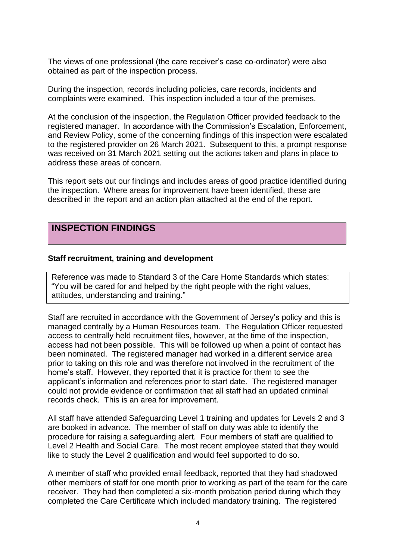The views of one professional (the care receiver's case co-ordinator) were also obtained as part of the inspection process.

During the inspection, records including policies, care records, incidents and complaints were examined. This inspection included a tour of the premises.

At the conclusion of the inspection, the Regulation Officer provided feedback to the registered manager. In accordance with the Commission's Escalation, Enforcement, and Review Policy, some of the concerning findings of this inspection were escalated to the registered provider on 26 March 2021. Subsequent to this, a prompt response was received on 31 March 2021 setting out the actions taken and plans in place to address these areas of concern.

This report sets out our findings and includes areas of good practice identified during the inspection. Where areas for improvement have been identified, these are described in the report and an action plan attached at the end of the report.

### **INSPECTION FINDINGS**

#### **Staff recruitment, training and development**

Reference was made to Standard 3 of the Care Home Standards which states: "You will be cared for and helped by the right people with the right values, attitudes, understanding and training."

Staff are recruited in accordance with the Government of Jersey's policy and this is managed centrally by a Human Resources team. The Regulation Officer requested access to centrally held recruitment files, however, at the time of the inspection, access had not been possible. This will be followed up when a point of contact has been nominated. The registered manager had worked in a different service area prior to taking on this role and was therefore not involved in the recruitment of the home's staff. However, they reported that it is practice for them to see the applicant's information and references prior to start date. The registered manager could not provide evidence or confirmation that all staff had an updated criminal records check. This is an area for improvement.

All staff have attended Safeguarding Level 1 training and updates for Levels 2 and 3 are booked in advance. The member of staff on duty was able to identify the procedure for raising a safeguarding alert. Four members of staff are qualified to Level 2 Health and Social Care. The most recent employee stated that they would like to study the Level 2 qualification and would feel supported to do so.

A member of staff who provided email feedback, reported that they had shadowed other members of staff for one month prior to working as part of the team for the care receiver. They had then completed a six-month probation period during which they completed the Care Certificate which included mandatory training. The registered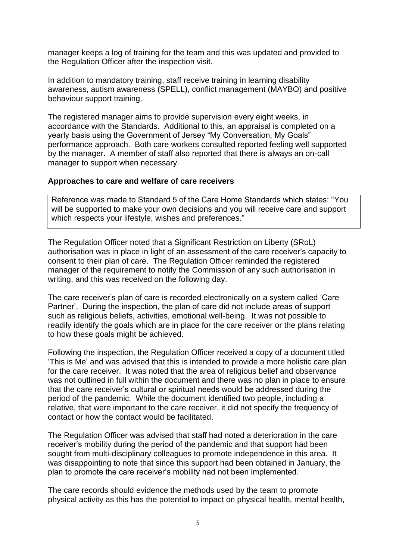manager keeps a log of training for the team and this was updated and provided to the Regulation Officer after the inspection visit.

In addition to mandatory training, staff receive training in learning disability awareness, autism awareness (SPELL), conflict management (MAYBO) and positive behaviour support training.

The registered manager aims to provide supervision every eight weeks, in accordance with the Standards. Additional to this, an appraisal is completed on a yearly basis using the Government of Jersey "My Conversation, My Goals" performance approach. Both care workers consulted reported feeling well supported by the manager. A member of staff also reported that there is always an on-call manager to support when necessary.

#### **Approaches to care and welfare of care receivers**

Reference was made to Standard 5 of the Care Home Standards which states: "You will be supported to make your own decisions and you will receive care and support which respects your lifestyle, wishes and preferences."

The Regulation Officer noted that a Significant Restriction on Liberty (SRoL) authorisation was in place in light of an assessment of the care receiver's capacity to consent to their plan of care. The Regulation Officer reminded the registered manager of the requirement to notify the Commission of any such authorisation in writing, and this was received on the following day.

The care receiver's plan of care is recorded electronically on a system called 'Care Partner'. During the inspection, the plan of care did not include areas of support such as religious beliefs, activities, emotional well-being. It was not possible to readily identify the goals which are in place for the care receiver or the plans relating to how these goals might be achieved.

Following the inspection, the Regulation Officer received a copy of a document titled 'This is Me' and was advised that this is intended to provide a more holistic care plan for the care receiver. It was noted that the area of religious belief and observance was not outlined in full within the document and there was no plan in place to ensure that the care receiver's cultural or spiritual needs would be addressed during the period of the pandemic. While the document identified two people, including a relative, that were important to the care receiver, it did not specify the frequency of contact or how the contact would be facilitated.

The Regulation Officer was advised that staff had noted a deterioration in the care receiver's mobility during the period of the pandemic and that support had been sought from multi-disciplinary colleagues to promote independence in this area. It was disappointing to note that since this support had been obtained in January, the plan to promote the care receiver's mobility had not been implemented.

The care records should evidence the methods used by the team to promote physical activity as this has the potential to impact on physical health, mental health,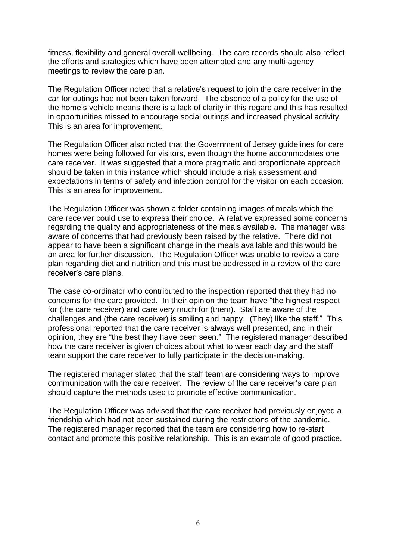fitness, flexibility and general overall wellbeing. The care records should also reflect the efforts and strategies which have been attempted and any multi-agency meetings to review the care plan.

The Regulation Officer noted that a relative's request to join the care receiver in the car for outings had not been taken forward. The absence of a policy for the use of the home's vehicle means there is a lack of clarity in this regard and this has resulted in opportunities missed to encourage social outings and increased physical activity. This is an area for improvement.

The Regulation Officer also noted that the Government of Jersey guidelines for care homes were being followed for visitors, even though the home accommodates one care receiver. It was suggested that a more pragmatic and proportionate approach should be taken in this instance which should include a risk assessment and expectations in terms of safety and infection control for the visitor on each occasion. This is an area for improvement.

The Regulation Officer was shown a folder containing images of meals which the care receiver could use to express their choice. A relative expressed some concerns regarding the quality and appropriateness of the meals available. The manager was aware of concerns that had previously been raised by the relative. There did not appear to have been a significant change in the meals available and this would be an area for further discussion. The Regulation Officer was unable to review a care plan regarding diet and nutrition and this must be addressed in a review of the care receiver's care plans.

The case co-ordinator who contributed to the inspection reported that they had no concerns for the care provided. In their opinion the team have "the highest respect for (the care receiver) and care very much for (them). Staff are aware of the challenges and (the care receiver) is smiling and happy. (They) like the staff." This professional reported that the care receiver is always well presented, and in their opinion, they are "the best they have been seen." The registered manager described how the care receiver is given choices about what to wear each day and the staff team support the care receiver to fully participate in the decision-making.

The registered manager stated that the staff team are considering ways to improve communication with the care receiver. The review of the care receiver's care plan should capture the methods used to promote effective communication.

The Regulation Officer was advised that the care receiver had previously enjoyed a friendship which had not been sustained during the restrictions of the pandemic. The registered manager reported that the team are considering how to re-start contact and promote this positive relationship. This is an example of good practice.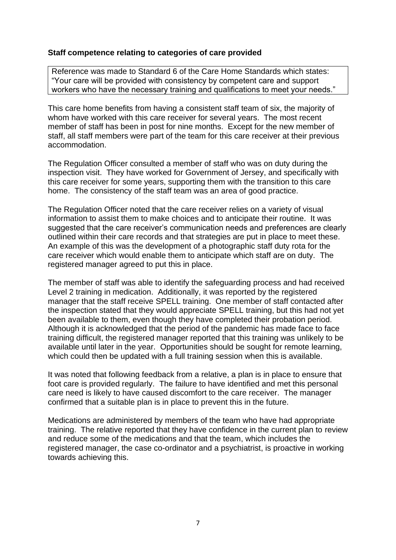#### **Staff competence relating to categories of care provided**

Reference was made to Standard 6 of the Care Home Standards which states: "Your care will be provided with consistency by competent care and support workers who have the necessary training and qualifications to meet your needs."

This care home benefits from having a consistent staff team of six, the majority of whom have worked with this care receiver for several years. The most recent member of staff has been in post for nine months. Except for the new member of staff, all staff members were part of the team for this care receiver at their previous accommodation.

The Regulation Officer consulted a member of staff who was on duty during the inspection visit. They have worked for Government of Jersey, and specifically with this care receiver for some years, supporting them with the transition to this care home. The consistency of the staff team was an area of good practice.

The Regulation Officer noted that the care receiver relies on a variety of visual information to assist them to make choices and to anticipate their routine. It was suggested that the care receiver's communication needs and preferences are clearly outlined within their care records and that strategies are put in place to meet these. An example of this was the development of a photographic staff duty rota for the care receiver which would enable them to anticipate which staff are on duty. The registered manager agreed to put this in place.

The member of staff was able to identify the safeguarding process and had received Level 2 training in medication. Additionally, it was reported by the registered manager that the staff receive SPELL training. One member of staff contacted after the inspection stated that they would appreciate SPELL training, but this had not yet been available to them, even though they have completed their probation period. Although it is acknowledged that the period of the pandemic has made face to face training difficult, the registered manager reported that this training was unlikely to be available until later in the year. Opportunities should be sought for remote learning, which could then be updated with a full training session when this is available.

It was noted that following feedback from a relative, a plan is in place to ensure that foot care is provided regularly. The failure to have identified and met this personal care need is likely to have caused discomfort to the care receiver. The manager confirmed that a suitable plan is in place to prevent this in the future.

Medications are administered by members of the team who have had appropriate training. The relative reported that they have confidence in the current plan to review and reduce some of the medications and that the team, which includes the registered manager, the case co-ordinator and a psychiatrist, is proactive in working towards achieving this.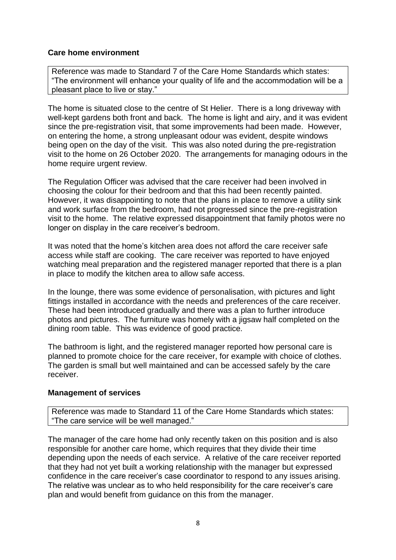#### **Care home environment**

Reference was made to Standard 7 of the Care Home Standards which states: "The environment will enhance your quality of life and the accommodation will be a pleasant place to live or stay."

The home is situated close to the centre of St Helier. There is a long driveway with well-kept gardens both front and back. The home is light and airy, and it was evident since the pre-registration visit, that some improvements had been made. However, on entering the home, a strong unpleasant odour was evident, despite windows being open on the day of the visit. This was also noted during the pre-registration visit to the home on 26 October 2020. The arrangements for managing odours in the home require urgent review.

The Regulation Officer was advised that the care receiver had been involved in choosing the colour for their bedroom and that this had been recently painted. However, it was disappointing to note that the plans in place to remove a utility sink and work surface from the bedroom, had not progressed since the pre-registration visit to the home. The relative expressed disappointment that family photos were no longer on display in the care receiver's bedroom.

It was noted that the home's kitchen area does not afford the care receiver safe access while staff are cooking. The care receiver was reported to have enjoyed watching meal preparation and the registered manager reported that there is a plan in place to modify the kitchen area to allow safe access.

In the lounge, there was some evidence of personalisation, with pictures and light fittings installed in accordance with the needs and preferences of the care receiver. These had been introduced gradually and there was a plan to further introduce photos and pictures. The furniture was homely with a jigsaw half completed on the dining room table. This was evidence of good practice.

The bathroom is light, and the registered manager reported how personal care is planned to promote choice for the care receiver, for example with choice of clothes. The garden is small but well maintained and can be accessed safely by the care receiver.

#### **Management of services**

Reference was made to Standard 11 of the Care Home Standards which states: "The care service will be well managed."

The manager of the care home had only recently taken on this position and is also responsible for another care home, which requires that they divide their time depending upon the needs of each service. A relative of the care receiver reported that they had not yet built a working relationship with the manager but expressed confidence in the care receiver's case coordinator to respond to any issues arising. The relative was unclear as to who held responsibility for the care receiver's care plan and would benefit from guidance on this from the manager.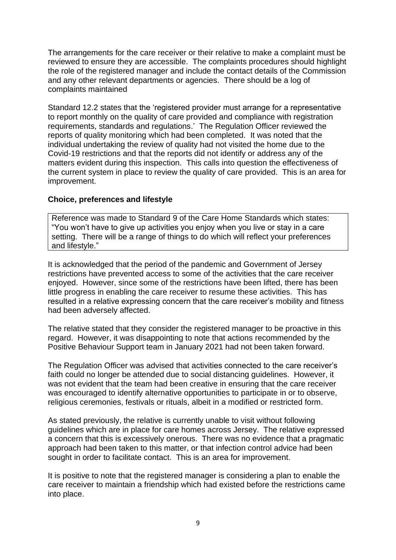The arrangements for the care receiver or their relative to make a complaint must be reviewed to ensure they are accessible. The complaints procedures should highlight the role of the registered manager and include the contact details of the Commission and any other relevant departments or agencies. There should be a log of complaints maintained

Standard 12.2 states that the 'registered provider must arrange for a representative to report monthly on the quality of care provided and compliance with registration requirements, standards and regulations.' The Regulation Officer reviewed the reports of quality monitoring which had been completed. It was noted that the individual undertaking the review of quality had not visited the home due to the Covid-19 restrictions and that the reports did not identify or address any of the matters evident during this inspection. This calls into question the effectiveness of the current system in place to review the quality of care provided. This is an area for improvement.

#### **Choice, preferences and lifestyle**

Reference was made to Standard 9 of the Care Home Standards which states: "You won't have to give up activities you enjoy when you live or stay in a care setting. There will be a range of things to do which will reflect your preferences and lifestyle."

It is acknowledged that the period of the pandemic and Government of Jersey restrictions have prevented access to some of the activities that the care receiver enjoyed. However, since some of the restrictions have been lifted, there has been little progress in enabling the care receiver to resume these activities. This has resulted in a relative expressing concern that the care receiver's mobility and fitness had been adversely affected.

The relative stated that they consider the registered manager to be proactive in this regard. However, it was disappointing to note that actions recommended by the Positive Behaviour Support team in January 2021 had not been taken forward.

The Regulation Officer was advised that activities connected to the care receiver's faith could no longer be attended due to social distancing guidelines. However, it was not evident that the team had been creative in ensuring that the care receiver was encouraged to identify alternative opportunities to participate in or to observe, religious ceremonies, festivals or rituals, albeit in a modified or restricted form.

As stated previously, the relative is currently unable to visit without following guidelines which are in place for care homes across Jersey. The relative expressed a concern that this is excessively onerous. There was no evidence that a pragmatic approach had been taken to this matter, or that infection control advice had been sought in order to facilitate contact. This is an area for improvement.

It is positive to note that the registered manager is considering a plan to enable the care receiver to maintain a friendship which had existed before the restrictions came into place.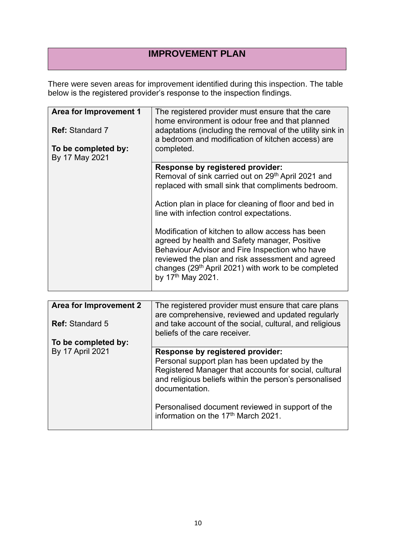## **IMPROVEMENT PLAN**

There were seven areas for improvement identified during this inspection. The table below is the registered provider's response to the inspection findings.

| Area for Improvement 1<br><b>Ref:</b> Standard 7 | The registered provider must ensure that the care<br>home environment is odour free and that planned<br>adaptations (including the removal of the utility sink in                                                                                                                               |
|--------------------------------------------------|-------------------------------------------------------------------------------------------------------------------------------------------------------------------------------------------------------------------------------------------------------------------------------------------------|
| To be completed by:<br>By 17 May 2021            | a bedroom and modification of kitchen access) are<br>completed.                                                                                                                                                                                                                                 |
|                                                  |                                                                                                                                                                                                                                                                                                 |
|                                                  | <b>Response by registered provider:</b><br>Removal of sink carried out on 29th April 2021 and<br>replaced with small sink that compliments bedroom.                                                                                                                                             |
|                                                  | Action plan in place for cleaning of floor and bed in<br>line with infection control expectations.                                                                                                                                                                                              |
|                                                  | Modification of kitchen to allow access has been<br>agreed by health and Safety manager, Positive<br>Behaviour Advisor and Fire Inspection who have<br>reviewed the plan and risk assessment and agreed<br>changes (29 <sup>th</sup> April 2021) with work to be completed<br>by 17th May 2021. |

| <b>Area for Improvement 2</b> | The registered provider must ensure that care plans<br>are comprehensive, reviewed and updated regularly                                                                                                                      |
|-------------------------------|-------------------------------------------------------------------------------------------------------------------------------------------------------------------------------------------------------------------------------|
| <b>Ref: Standard 5</b>        | and take account of the social, cultural, and religious<br>beliefs of the care receiver.                                                                                                                                      |
| To be completed by:           |                                                                                                                                                                                                                               |
| <b>By 17 April 2021</b>       | <b>Response by registered provider:</b><br>Personal support plan has been updated by the<br>Registered Manager that accounts for social, cultural<br>and religious beliefs within the person's personalised<br>documentation. |
|                               | Personalised document reviewed in support of the<br>information on the 17 <sup>th</sup> March 2021.                                                                                                                           |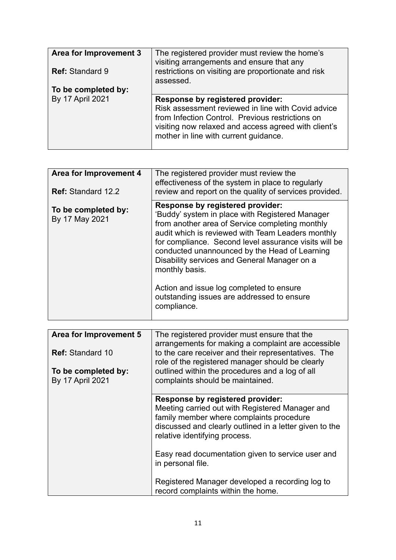| Area for Improvement 3<br><b>Ref: Standard 9</b> | The registered provider must review the home's<br>visiting arrangements and ensure that any<br>restrictions on visiting are proportionate and risk<br>assessed.                                                                             |
|--------------------------------------------------|---------------------------------------------------------------------------------------------------------------------------------------------------------------------------------------------------------------------------------------------|
| To be completed by:                              |                                                                                                                                                                                                                                             |
| By 17 April 2021                                 | Response by registered provider:<br>Risk assessment reviewed in line with Covid advice<br>from Infection Control. Previous restrictions on<br>visiting now relaxed and access agreed with client's<br>mother in line with current guidance. |

| Area for Improvement 4<br><b>Ref: Standard 12.2</b> | The registered provider must review the<br>effectiveness of the system in place to regularly<br>review and report on the quality of services provided.                                                                                                                                                                                                                                                                                                                           |
|-----------------------------------------------------|----------------------------------------------------------------------------------------------------------------------------------------------------------------------------------------------------------------------------------------------------------------------------------------------------------------------------------------------------------------------------------------------------------------------------------------------------------------------------------|
| To be completed by:<br>By 17 May 2021               | Response by registered provider:<br>'Buddy' system in place with Registered Manager<br>from another area of Service completing monthly<br>audit which is reviewed with Team Leaders monthly<br>for compliance. Second level assurance visits will be<br>conducted unannounced by the Head of Learning<br>Disability services and General Manager on a<br>monthly basis.<br>Action and issue log completed to ensure<br>outstanding issues are addressed to ensure<br>compliance. |

| Area for Improvement 5<br><b>Ref:</b> Standard 10<br>To be completed by:<br><b>By 17 April 2021</b> | The registered provider must ensure that the<br>arrangements for making a complaint are accessible<br>to the care receiver and their representatives. The<br>role of the registered manager should be clearly<br>outlined within the procedures and a log of all<br>complaints should be maintained. |
|-----------------------------------------------------------------------------------------------------|------------------------------------------------------------------------------------------------------------------------------------------------------------------------------------------------------------------------------------------------------------------------------------------------------|
|                                                                                                     | Response by registered provider:<br>Meeting carried out with Registered Manager and<br>family member where complaints procedure<br>discussed and clearly outlined in a letter given to the<br>relative identifying process.                                                                          |
|                                                                                                     | Easy read documentation given to service user and<br>in personal file.                                                                                                                                                                                                                               |
|                                                                                                     | Registered Manager developed a recording log to<br>record complaints within the home.                                                                                                                                                                                                                |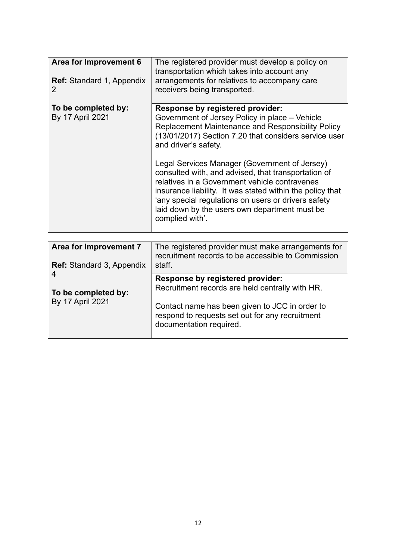| Area for Improvement 6<br><b>Ref:</b> Standard 1, Appendix<br>2 | The registered provider must develop a policy on<br>transportation which takes into account any<br>arrangements for relatives to accompany care<br>receivers being transported.                                                                                                                                                                                                                                                                                                                                                                                                         |
|-----------------------------------------------------------------|-----------------------------------------------------------------------------------------------------------------------------------------------------------------------------------------------------------------------------------------------------------------------------------------------------------------------------------------------------------------------------------------------------------------------------------------------------------------------------------------------------------------------------------------------------------------------------------------|
| To be completed by:<br><b>By 17 April 2021</b>                  | <b>Response by registered provider:</b><br>Government of Jersey Policy in place – Vehicle<br><b>Replacement Maintenance and Responsibility Policy</b><br>(13/01/2017) Section 7.20 that considers service user<br>and driver's safety.<br>Legal Services Manager (Government of Jersey)<br>consulted with, and advised, that transportation of<br>relatives in a Government vehicle contravenes<br>insurance liability. It was stated within the policy that<br>'any special regulations on users or drivers safety<br>laid down by the users own department must be<br>complied with'. |

| Area for Improvement 7<br><b>Ref:</b> Standard 3, Appendix | The registered provider must make arrangements for<br>recruitment records to be accessible to Commission<br>staff.                                                                                                         |
|------------------------------------------------------------|----------------------------------------------------------------------------------------------------------------------------------------------------------------------------------------------------------------------------|
| 4<br>To be completed by:<br><b>By 17 April 2021</b>        | <b>Response by registered provider:</b><br>Recruitment records are held centrally with HR.<br>Contact name has been given to JCC in order to<br>respond to requests set out for any recruitment<br>documentation required. |